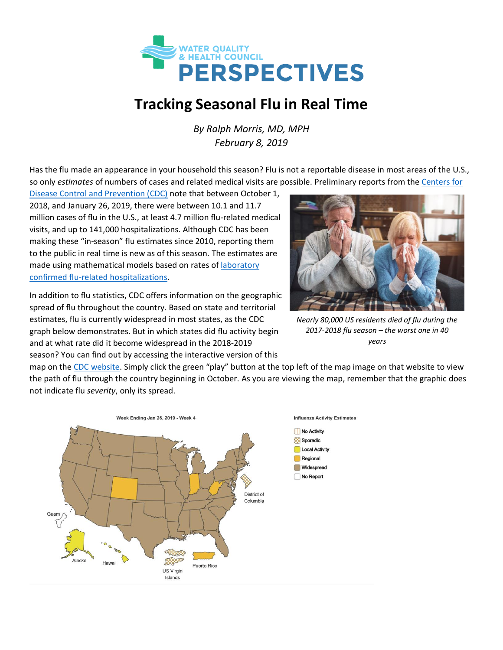

## **Tracking Seasonal Flu in Real Time**

*By Ralph Morris, MD, MPH February 8, 2019*

Has the flu made an appearance in your household this season? Flu is not a reportable disease in most areas of the U.S., so only *estimates* of numbers of cases and related medical visits are possible. Preliminary reports from the [Centers for](https://www.cdc.gov/flu/about/burden/preliminary-in-season-estimates.htm) 

[Disease Control and Prevention \(CDC\)](https://www.cdc.gov/flu/about/burden/preliminary-in-season-estimates.htm) note that between October 1, 2018, and January 26, 2019, there were between 10.1 and 11.7 million cases of flu in the U.S., at least 4.7 million flu-related medical visits, and up to 141,000 hospitalizations. Although CDC has been making these "in-season" flu estimates since 2010, reporting them to the public in real time is new as of this season. The estimates are made using mathematical models based on rates of [laboratory](https://gis.cdc.gov/GRASP/Fluview/FluHospRates.html) [confirmed flu-related](https://gis.cdc.gov/GRASP/Fluview/FluHospRates.html) hospitalizations.

In addition to flu statistics, CDC offers information on the geographic spread of flu throughout the country. Based on state and territorial estimates, flu is currently widespread in most states, as the CDC graph below demonstrates. But in which states did flu activity begin and at what rate did it become widespread in the 2018-2019 season? You can find out by accessing the interactive version of this



*Nearly 80,000 US residents died of flu during the 2017-2018 flu season – the worst one in 40 years*

map on the [CDC website.](https://www.cdc.gov/flu/weekly/usmap.htm) Simply click the green "play" button at the top left of the map image on that website to view the path of flu through the country beginning in October. As you are viewing the map, remember that the graphic does not indicate flu *severity*, only its spread.